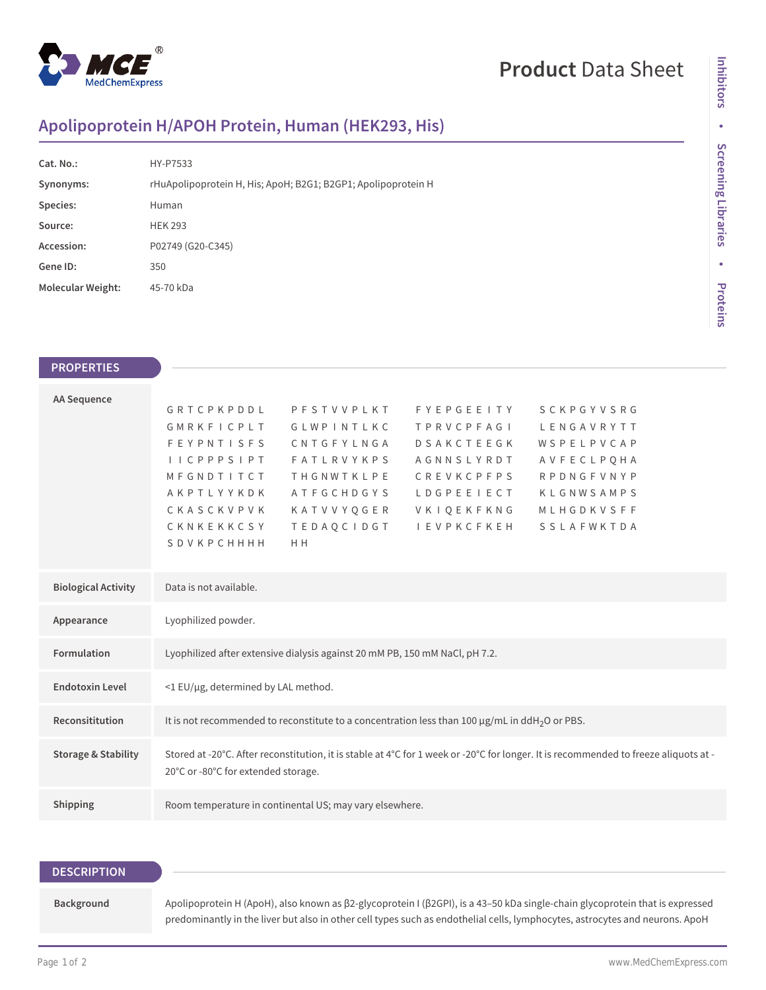

## **Product** Data Sheet

### **Apolipoprotein H/APOH Protein, Human (HEK293, His)**

| Cat. No.:                | HY-P7533                                                      |
|--------------------------|---------------------------------------------------------------|
| Synonyms:                | rHuApolipoprotein H, His; ApoH; B2G1; B2GP1; Apolipoprotein H |
| Species:                 | Human                                                         |
| Source:                  | <b>HEK 293</b>                                                |
| Accession:               | P02749 (G20-C345)                                             |
| Gene ID:                 | 350                                                           |
| <b>Molecular Weight:</b> | 45-70 kDa                                                     |

# • Screening Libraries **Screening Libraries • Proteins**

**Inhibitors**

Inhibitors

#### **PROPERTIES**

| <b>AA Sequence</b>             |                                     |                                                                             |                                                                                                                 |                                                                                                                                      |  |
|--------------------------------|-------------------------------------|-----------------------------------------------------------------------------|-----------------------------------------------------------------------------------------------------------------|--------------------------------------------------------------------------------------------------------------------------------------|--|
|                                | GRTCPKPDDL                          | PFSTVVPLKT                                                                  | <b>FYEPGEEITY</b>                                                                                               | <b>SCKPGYVSRG</b>                                                                                                                    |  |
|                                | GMRKFICPLT                          | GLWPINTLKC                                                                  | T P R V C P F A G I                                                                                             | LENGAVRYTT                                                                                                                           |  |
|                                | <b>FEYPNTISFS</b>                   | CNTGFYLNGA                                                                  | <b>DSAKCTEEGK</b>                                                                                               | WSPELPVCAP                                                                                                                           |  |
|                                | I I C P P P S I P T                 | <b>FATLRVYKPS</b>                                                           | AGNNSLYRDT                                                                                                      | AVFECLPQHA                                                                                                                           |  |
|                                | MFGNDTITCT                          | <b>THGNWTKLPE</b>                                                           | <b>CREVKCPFPS</b>                                                                                               | <b>RPDNGFVNYP</b>                                                                                                                    |  |
|                                | AKPTLYYKDK                          | <b>ATFGCHDGYS</b>                                                           | LDGPEEIECT                                                                                                      | KLGNWSAMPS                                                                                                                           |  |
|                                | CKASCKVPVK                          | KATVVYQGER                                                                  | VKIQEKFKNG                                                                                                      | MLHGDKVSFF                                                                                                                           |  |
|                                | CKNKEKKCSY                          | <b>TEDAQCIDGT</b>                                                           | I E V P K C F K E H                                                                                             | SSLAFWKTDA                                                                                                                           |  |
|                                | <b>SDVKPCHHHH</b>                   | H <sub>H</sub>                                                              |                                                                                                                 |                                                                                                                                      |  |
|                                |                                     |                                                                             |                                                                                                                 |                                                                                                                                      |  |
|                                |                                     |                                                                             |                                                                                                                 |                                                                                                                                      |  |
| <b>Biological Activity</b>     | Data is not available.              |                                                                             |                                                                                                                 |                                                                                                                                      |  |
|                                |                                     |                                                                             |                                                                                                                 |                                                                                                                                      |  |
| Appearance                     | Lyophilized powder.                 |                                                                             |                                                                                                                 |                                                                                                                                      |  |
| Formulation                    |                                     | Lyophilized after extensive dialysis against 20 mM PB, 150 mM NaCl, pH 7.2. |                                                                                                                 |                                                                                                                                      |  |
|                                |                                     |                                                                             |                                                                                                                 |                                                                                                                                      |  |
| <b>Endotoxin Level</b>         | <1 EU/µg, determined by LAL method. |                                                                             |                                                                                                                 |                                                                                                                                      |  |
|                                |                                     |                                                                             |                                                                                                                 |                                                                                                                                      |  |
| Reconsititution                |                                     |                                                                             | It is not recommended to reconstitute to a concentration less than 100 $\mu$ g/mL in ddH <sub>2</sub> O or PBS. |                                                                                                                                      |  |
|                                |                                     |                                                                             |                                                                                                                 |                                                                                                                                      |  |
| <b>Storage &amp; Stability</b> |                                     |                                                                             |                                                                                                                 | Stored at -20°C. After reconstitution, it is stable at 4°C for 1 week or -20°C for longer. It is recommended to freeze aliquots at - |  |
|                                | 20°C or -80°C for extended storage. |                                                                             |                                                                                                                 |                                                                                                                                      |  |
|                                |                                     |                                                                             |                                                                                                                 |                                                                                                                                      |  |
| Shipping                       |                                     | Room temperature in continental US; may vary elsewhere.                     |                                                                                                                 |                                                                                                                                      |  |
|                                |                                     |                                                                             |                                                                                                                 |                                                                                                                                      |  |

| <b>DESCRIPTION</b> |                                                                                                                                                                                                                                                              |
|--------------------|--------------------------------------------------------------------------------------------------------------------------------------------------------------------------------------------------------------------------------------------------------------|
| Background         | Apolipoprotein H (ApoH), also known as β2-glycoprotein I (β2GPI), is a 43-50 kDa single-chain glycoprotein that is expressed<br>predominantly in the liver but also in other cell types such as endothelial cells, lymphocytes, astrocytes and neurons. ApoH |